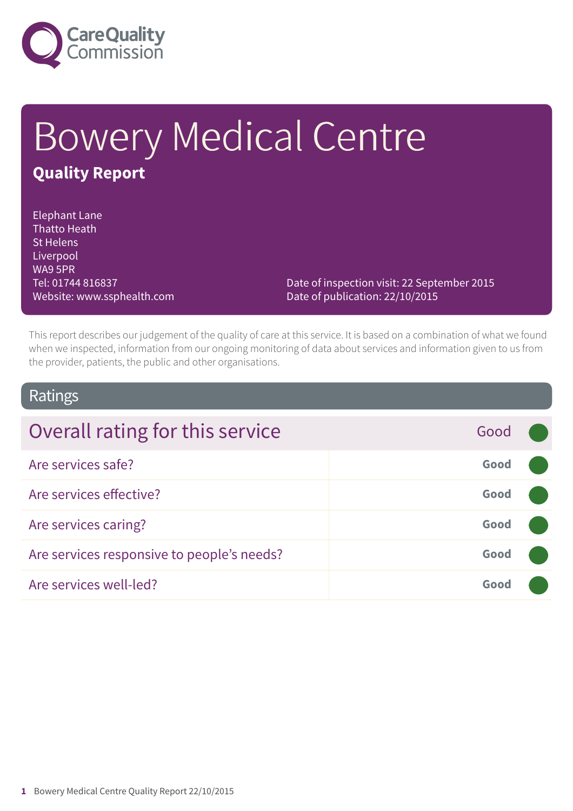

# Bowery Medical Centre **Quality Report**

Elephant Lane Thatto Heath St Helens Liverpool WA9 5PR Tel: 01744 816837 Website: www.ssphealth.com

Date of inspection visit: 22 September 2015 Date of publication: 22/10/2015

This report describes our judgement of the quality of care at this service. It is based on a combination of what we found when we inspected, information from our ongoing monitoring of data about services and information given to us from the provider, patients, the public and other organisations.

### Ratings

| Overall rating for this service            | Good |  |
|--------------------------------------------|------|--|
| Are services safe?                         | Good |  |
| Are services effective?                    | Good |  |
| Are services caring?                       | Good |  |
| Are services responsive to people's needs? | Good |  |
| Are services well-led?                     | Good |  |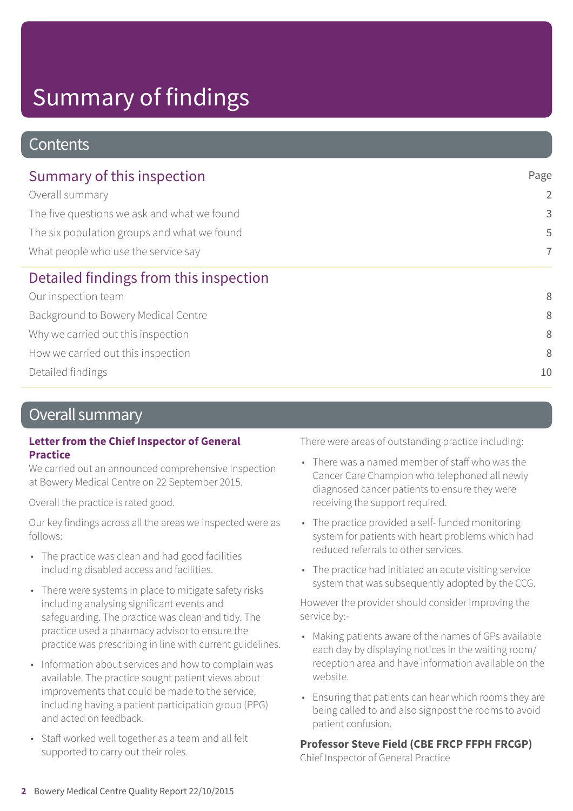# Summary of findings

### **Contents**

| Summary of this inspection                  | Page           |
|---------------------------------------------|----------------|
| Overall summary                             | $\overline{2}$ |
| The five questions we ask and what we found | 3              |
| The six population groups and what we found | 5              |
| What people who use the service say         | $\overline{7}$ |
| Detailed findings from this inspection      |                |
| Our inspection team                         | 8              |
| Background to Bowery Medical Centre         | 8              |
| Why we carried out this inspection          | 8              |
| How we carried out this inspection          | 8              |
| Detailed findings                           | 10             |

### Overall summary

#### **Letter from the Chief Inspector of General Practice**

We carried out an announced comprehensive inspection at Bowery Medical Centre on 22 September 2015.

Overall the practice is rated good.

Our key findings across all the areas we inspected were as follows:

- The practice was clean and had good facilities including disabled access and facilities.
- There were systems in place to mitigate safety risks including analysing significant events and safeguarding. The practice was clean and tidy. The practice used a pharmacy advisor to ensure the practice was prescribing in line with current guidelines.
- Information about services and how to complain was available. The practice sought patient views about improvements that could be made to the service, including having a patient participation group (PPG) and acted on feedback.
- Staff worked well together as a team and all felt supported to carry out their roles.

There were areas of outstanding practice including:

- There was a named member of staff who was the Cancer Care Champion who telephoned all newly diagnosed cancer patients to ensure they were receiving the support required.
- The practice provided a self- funded monitoring system for patients with heart problems which had reduced referrals to other services.
- The practice had initiated an acute visiting service system that was subsequently adopted by the CCG.

However the provider should consider improving the service by:-

- Making patients aware of the names of GPs available each day by displaying notices in the waiting room/ reception area and have information available on the website.
- Ensuring that patients can hear which rooms they are being called to and also signpost the rooms to avoid patient confusion.

### **Professor Steve Field (CBE FRCP FFPH FRCGP)**

Chief Inspector of General Practice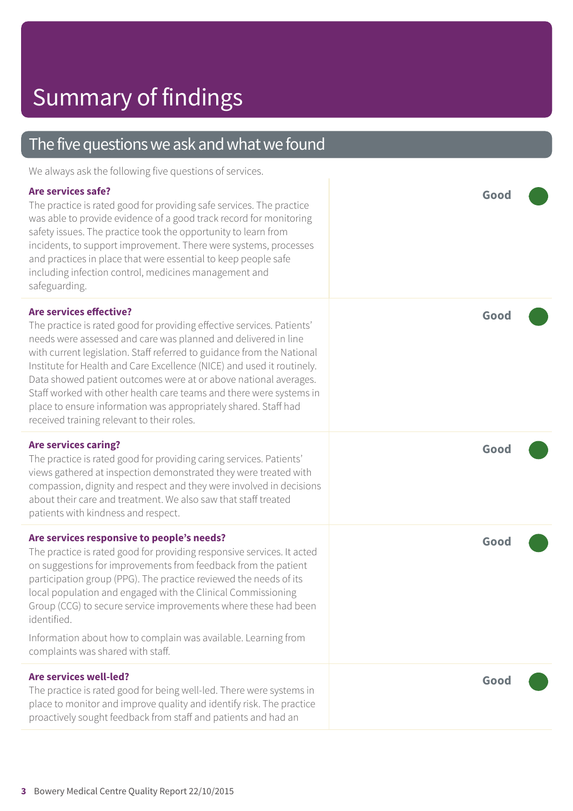| The five questions we ask and what we found                                                                                                                                                                                                                                                                                                                                                                                                                                                                                                                                                |      |
|--------------------------------------------------------------------------------------------------------------------------------------------------------------------------------------------------------------------------------------------------------------------------------------------------------------------------------------------------------------------------------------------------------------------------------------------------------------------------------------------------------------------------------------------------------------------------------------------|------|
| We always ask the following five questions of services.                                                                                                                                                                                                                                                                                                                                                                                                                                                                                                                                    |      |
| Are services safe?<br>The practice is rated good for providing safe services. The practice<br>was able to provide evidence of a good track record for monitoring<br>safety issues. The practice took the opportunity to learn from<br>incidents, to support improvement. There were systems, processes<br>and practices in place that were essential to keep people safe<br>including infection control, medicines management and<br>safeguarding.                                                                                                                                         | Good |
| <b>Are services effective?</b><br>The practice is rated good for providing effective services. Patients'<br>needs were assessed and care was planned and delivered in line<br>with current legislation. Staff referred to guidance from the National<br>Institute for Health and Care Excellence (NICE) and used it routinely.<br>Data showed patient outcomes were at or above national averages.<br>Staff worked with other health care teams and there were systems in<br>place to ensure information was appropriately shared. Staff had<br>received training relevant to their roles. | Good |
| <b>Are services caring?</b><br>The practice is rated good for providing caring services. Patients'<br>views gathered at inspection demonstrated they were treated with<br>compassion, dignity and respect and they were involved in decisions<br>about their care and treatment. We also saw that staff treated<br>patients with kindness and respect.                                                                                                                                                                                                                                     | Good |
| Are services responsive to people's needs?<br>The practice is rated good for providing responsive services. It acted<br>on suggestions for improvements from feedback from the patient<br>participation group (PPG). The practice reviewed the needs of its<br>local population and engaged with the Clinical Commissioning<br>Group (CCG) to secure service improvements where these had been<br>identified.<br>Information about how to complain was available. Learning from<br>complaints was shared with staff.                                                                       | Good |
| <b>Are services well-led?</b><br>The practice is rated good for being well-led. There were systems in<br>place to monitor and improve quality and identify risk. The practice<br>proactively sought feedback from staff and patients and had an                                                                                                                                                                                                                                                                                                                                            | Good |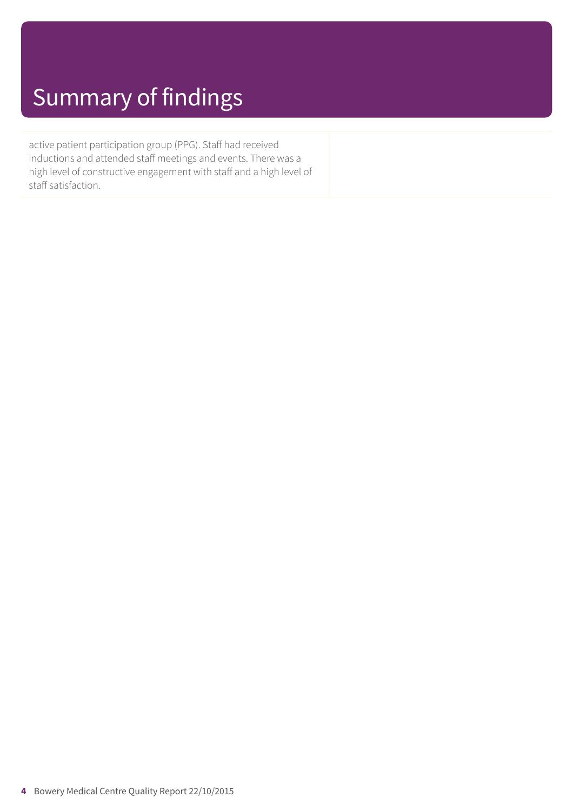## Summary of findings

active patient participation group (PPG). Staff had received inductions and attended staff meetings and events. There was a high level of constructive engagement with staff and a high level of staff satisfaction.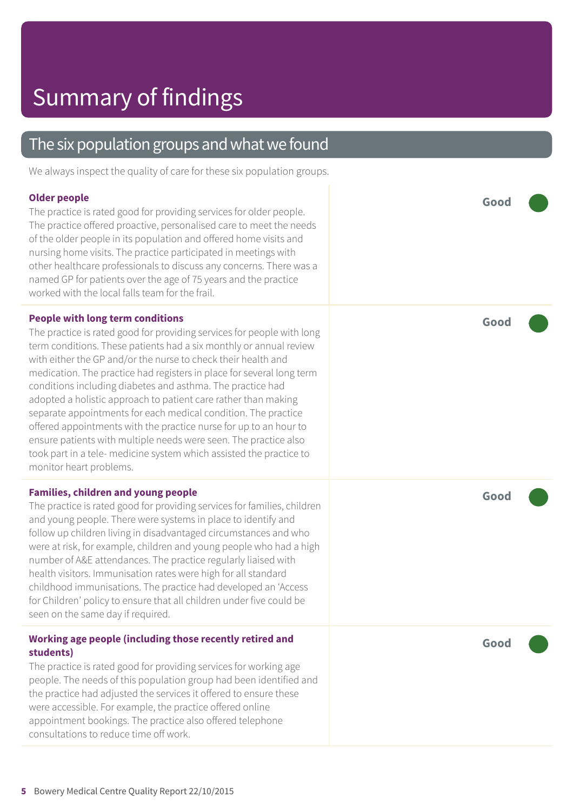### The six population groups and what we found

We always inspect the quality of care for these six population groups.

#### **Older people** The practice is rated good for providing services for older people. The practice offered proactive, personalised care to meet the needs of the older people in its population and offered home visits and nursing home visits. The practice participated in meetings with other healthcare professionals to discuss any concerns. There was a named GP for patients over the age of 75 years and the practice worked with the local falls team for the frail **Good ––– People with long term conditions** The practice is rated good for providing services for people with long term conditions. These patients had a six monthly or annual review with either the GP and/or the nurse to check their health and medication. The practice had registers in place for several long term conditions including diabetes and asthma. The practice had adopted a holistic approach to patient care rather than making separate appointments for each medical condition. The practice offered appointments with the practice nurse for up to an hour to ensure patients with multiple needs were seen. The practice also took part in a tele- medicine system which assisted the practice to monitor heart problems. **Good ––– Families, children and young people** The practice is rated good for providing services for families, children and young people. There were systems in place to identify and follow up children living in disadvantaged circumstances and who were at risk, for example, children and young people who had a high number of A&E attendances. The practice regularly liaised with health visitors. Immunisation rates were high for all standard childhood immunisations. The practice had developed an 'Access for Children' policy to ensure that all children under five could be seen on the same day if required. **Good ––– Working age people (including those recently retired and students)** The practice is rated good for providing services for working age people. The needs of this population group had been identified and the practice had adjusted the services it offered to ensure these **Good –––**

consultations to reduce time off work.

were accessible. For example, the practice offered online appointment bookings. The practice also offered telephone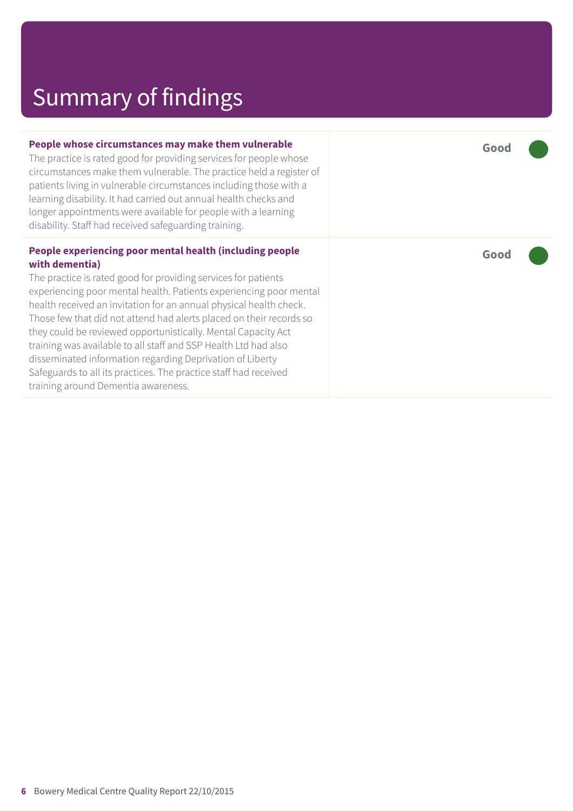# Summary of findings

| People whose circumstances may make them vulnerable<br>The practice is rated good for providing services for people whose<br>circumstances make them vulnerable. The practice held a register of<br>patients living in vulnerable circumstances including those with a<br>learning disability. It had carried out annual health checks and<br>longer appointments were available for people with a learning<br>disability. Staff had received safeguarding training.                                                                                             | Good |
|------------------------------------------------------------------------------------------------------------------------------------------------------------------------------------------------------------------------------------------------------------------------------------------------------------------------------------------------------------------------------------------------------------------------------------------------------------------------------------------------------------------------------------------------------------------|------|
| People experiencing poor mental health (including people<br>with dementia)<br>The practice is rated good for providing services for patients<br>experiencing poor mental health. Patients experiencing poor mental<br>health received an invitation for an annual physical health check.<br>Those few that did not attend had alerts placed on their records so<br>they could be reviewed opportunistically. Mental Capacity Act<br>training was available to all staff and SSP Health Ltd had also<br>disseminated information regarding Deprivation of Liberty | Good |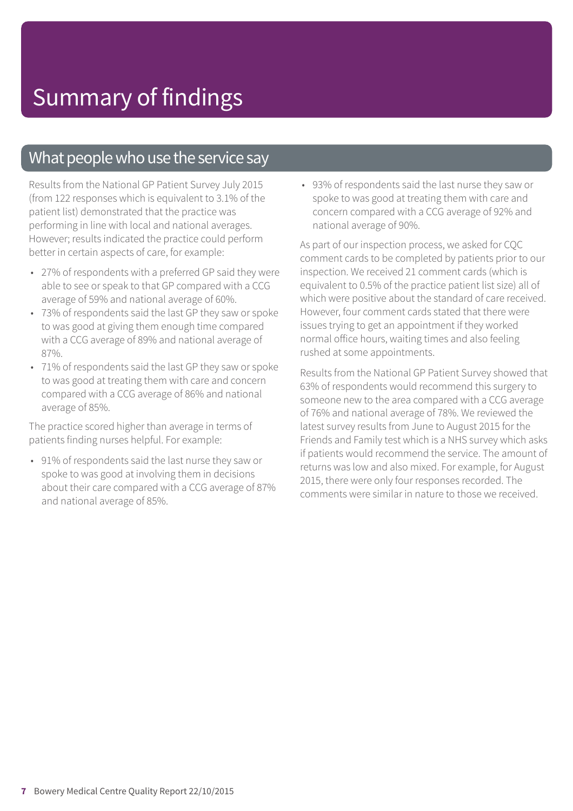### What people who use the service say

Results from the National GP Patient Survey July 2015 (from 122 responses which is equivalent to 3.1% of the patient list) demonstrated that the practice was performing in line with local and national averages. However; results indicated the practice could perform better in certain aspects of care, for example:

- 27% of respondents with a preferred GP said they were able to see or speak to that GP compared with a CCG average of 59% and national average of 60%.
- 73% of respondents said the last GP they saw or spoke to was good at giving them enough time compared with a CCG average of 89% and national average of 87%.
- 71% of respondents said the last GP they saw or spoke to was good at treating them with care and concern compared with a CCG average of 86% and national average of 85%.

The practice scored higher than average in terms of patients finding nurses helpful. For example:

• 91% of respondents said the last nurse they saw or spoke to was good at involving them in decisions about their care compared with a CCG average of 87% and national average of 85%.

• 93% of respondents said the last nurse they saw or spoke to was good at treating them with care and concern compared with a CCG average of 92% and national average of 90%.

As part of our inspection process, we asked for CQC comment cards to be completed by patients prior to our inspection. We received 21 comment cards (which is equivalent to 0.5% of the practice patient list size) all of which were positive about the standard of care received. However, four comment cards stated that there were issues trying to get an appointment if they worked normal office hours, waiting times and also feeling rushed at some appointments.

Results from the National GP Patient Survey showed that 63% of respondents would recommend this surgery to someone new to the area compared with a CCG average of 76% and national average of 78%. We reviewed the latest survey results from June to August 2015 for the Friends and Family test which is a NHS survey which asks if patients would recommend the service. The amount of returns was low and also mixed. For example, for August 2015, there were only four responses recorded. The comments were similar in nature to those we received.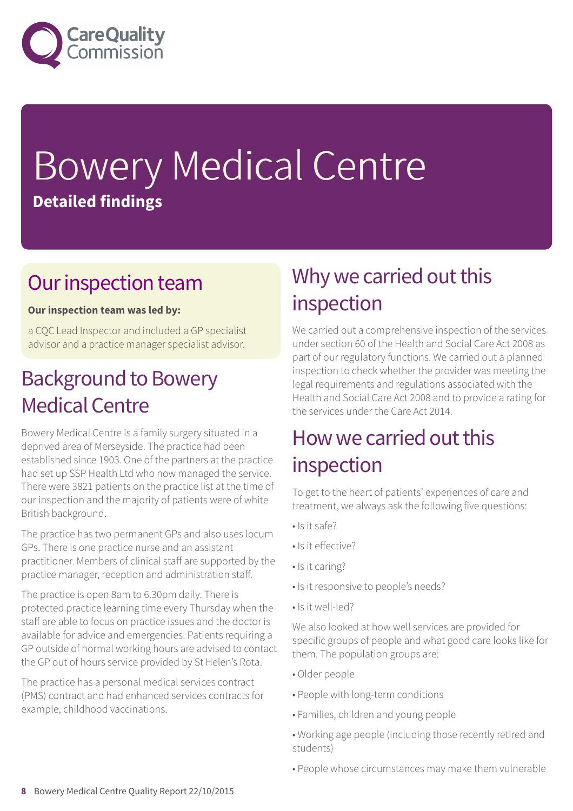

# Bowery Medical Centre **Detailed findings**

### Our inspection team

#### **Our inspection team was led by:**

a CQC Lead Inspector and included a GP specialist advisor and a practice manager specialist advisor.

### **Background to Bowery Medical Centre**

Bowery Medical Centre is a family surgery situated in a deprived area of Merseyside. The practice had been established since 1903. One of the partners at the practice had set up SSP Health Ltd who now managed the service. There were 3821 patients on the practice list at the time of our inspection and the majority of patients were of white British background.

The practice has two permanent GPs and also uses locum GPs. There is one practice nurse and an assistant practitioner. Members of clinical staff are supported by the practice manager, reception and administration staff.

The practice is open 8am to 6.30pm daily. There is protected practice learning time every Thursday when the staff are able to focus on practice issues and the doctor is available for advice and emergencies. Patients requiring a GP outside of normal working hours are advised to contact the GP out of hours service provided by St Helen's Rota.

The practice has a personal medical services contract (PMS) contract and had enhanced services contracts for example, childhood vaccinations.

### Why we carried out this inspection

We carried out a comprehensive inspection of the services under section 60 of the Health and Social Care Act 2008 as part of our regulatory functions. We carried out a planned inspection to check whether the provider was meeting the legal requirements and regulations associated with the Health and Social Care Act 2008 and to provide a rating for the services under the Care Act 2014.

### How we carried out this inspection

To get to the heart of patients' experiences of care and treatment, we always ask the following five questions:

- Is it safe?
- Is it effective?
- Is it caring?
- Is it responsive to people's needs?
- Is it well-led?

We also looked at how well services are provided for specific groups of people and what good care looks like for them. The population groups are:

- Older people
- People with long-term conditions
- Families, children and young people
- Working age people (including those recently retired and students)
- People whose circumstances may make them vulnerable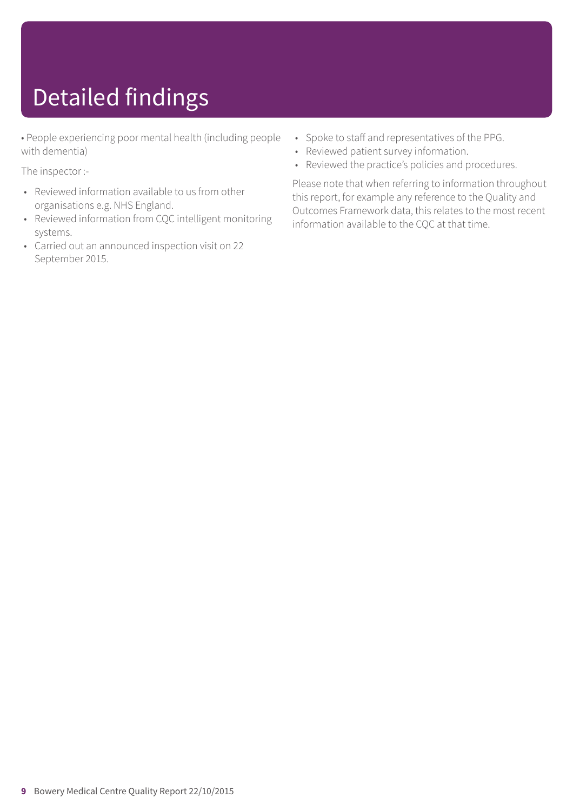# Detailed findings

• People experiencing poor mental health (including people with dementia)

The inspector :-

- Reviewed information available to us from other organisations e.g. NHS England.
- Reviewed information from CQC intelligent monitoring systems.
- Carried out an announced inspection visit on 22 September 2015.
- Spoke to staff and representatives of the PPG.
- Reviewed patient survey information.
- Reviewed the practice's policies and procedures.

Please note that when referring to information throughout this report, for example any reference to the Quality and Outcomes Framework data, this relates to the most recent information available to the CQC at that time.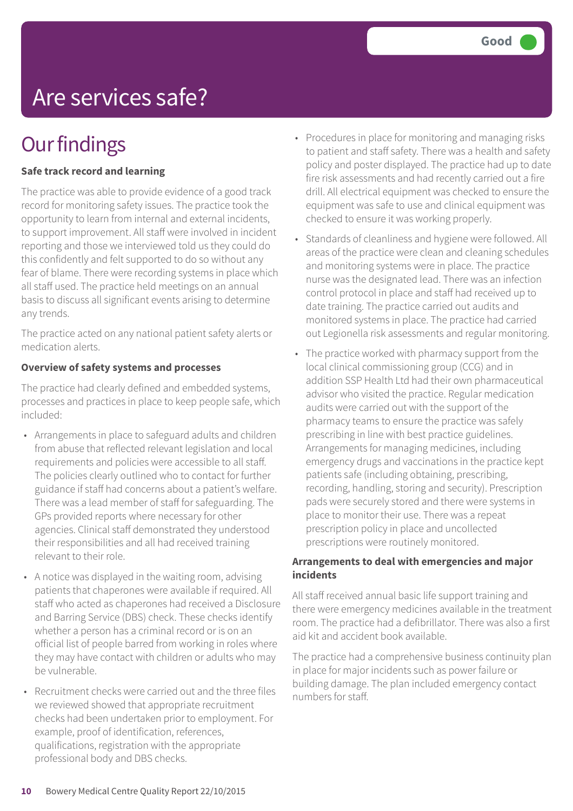## Are services safe?

### **Our findings**

#### **Safe track record and learning**

The practice was able to provide evidence of a good track record for monitoring safety issues. The practice took the opportunity to learn from internal and external incidents, to support improvement. All staff were involved in incident reporting and those we interviewed told us they could do this confidently and felt supported to do so without any fear of blame. There were recording systems in place which all staff used. The practice held meetings on an annual basis to discuss all significant events arising to determine any trends.

The practice acted on any national patient safety alerts or medication alerts.

#### **Overview of safety systems and processes**

The practice had clearly defined and embedded systems, processes and practices in place to keep people safe, which included:

- Arrangements in place to safeguard adults and children from abuse that reflected relevant legislation and local requirements and policies were accessible to all staff. The policies clearly outlined who to contact for further guidance if staff had concerns about a patient's welfare. There was a lead member of staff for safeguarding. The GPs provided reports where necessary for other agencies. Clinical staff demonstrated they understood their responsibilities and all had received training relevant to their role.
- A notice was displayed in the waiting room, advising patients that chaperones were available if required. All staff who acted as chaperones had received a Disclosure and Barring Service (DBS) check. These checks identify whether a person has a criminal record or is on an official list of people barred from working in roles where they may have contact with children or adults who may be vulnerable.
- Recruitment checks were carried out and the three files we reviewed showed that appropriate recruitment checks had been undertaken prior to employment. For example, proof of identification, references, qualifications, registration with the appropriate professional body and DBS checks.
- Procedures in place for monitoring and managing risks to patient and staff safety. There was a health and safety policy and poster displayed. The practice had up to date fire risk assessments and had recently carried out a fire drill. All electrical equipment was checked to ensure the equipment was safe to use and clinical equipment was checked to ensure it was working properly.
- Standards of cleanliness and hygiene were followed. All areas of the practice were clean and cleaning schedules and monitoring systems were in place. The practice nurse was the designated lead. There was an infection control protocol in place and staff had received up to date training. The practice carried out audits and monitored systems in place. The practice had carried out Legionella risk assessments and regular monitoring.
- The practice worked with pharmacy support from the local clinical commissioning group (CCG) and in addition SSP Health Ltd had their own pharmaceutical advisor who visited the practice. Regular medication audits were carried out with the support of the pharmacy teams to ensure the practice was safely prescribing in line with best practice guidelines. Arrangements for managing medicines, including emergency drugs and vaccinations in the practice kept patients safe (including obtaining, prescribing, recording, handling, storing and security). Prescription pads were securely stored and there were systems in place to monitor their use. There was a repeat prescription policy in place and uncollected prescriptions were routinely monitored.

#### **Arrangements to deal with emergencies and major incidents**

All staff received annual basic life support training and there were emergency medicines available in the treatment room. The practice had a defibrillator. There was also a first aid kit and accident book available.

The practice had a comprehensive business continuity plan in place for major incidents such as power failure or building damage. The plan included emergency contact numbers for staff.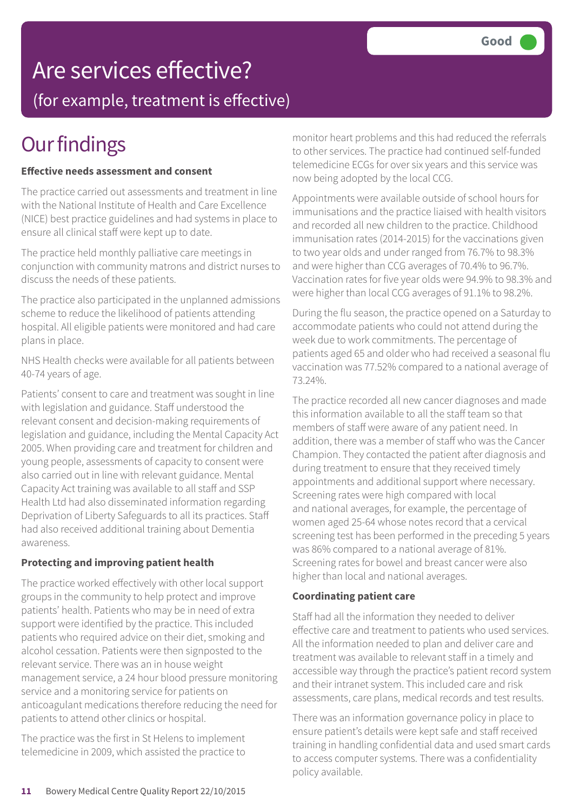### Are services effective?

(for example, treatment is effective)

### **Our findings**

#### **Effective needs assessment and consent**

The practice carried out assessments and treatment in line with the National Institute of Health and Care Excellence (NICE) best practice guidelines and had systems in place to ensure all clinical staff were kept up to date.

The practice held monthly palliative care meetings in conjunction with community matrons and district nurses to discuss the needs of these patients.

The practice also participated in the unplanned admissions scheme to reduce the likelihood of patients attending hospital. All eligible patients were monitored and had care plans in place.

NHS Health checks were available for all patients between 40-74 years of age.

Patients' consent to care and treatment was sought in line with legislation and guidance. Staff understood the relevant consent and decision-making requirements of legislation and guidance, including the Mental Capacity Act 2005. When providing care and treatment for children and young people, assessments of capacity to consent were also carried out in line with relevant guidance. Mental Capacity Act training was available to all staff and SSP Health Ltd had also disseminated information regarding Deprivation of Liberty Safeguards to all its practices. Staff had also received additional training about Dementia awareness.

#### **Protecting and improving patient health**

The practice worked effectively with other local support groups in the community to help protect and improve patients' health. Patients who may be in need of extra support were identified by the practice. This included patients who required advice on their diet, smoking and alcohol cessation. Patients were then signposted to the relevant service. There was an in house weight management service, a 24 hour blood pressure monitoring service and a monitoring service for patients on anticoagulant medications therefore reducing the need for patients to attend other clinics or hospital.

The practice was the first in St Helens to implement telemedicine in 2009, which assisted the practice to monitor heart problems and this had reduced the referrals to other services. The practice had continued self-funded telemedicine ECGs for over six years and this service was now being adopted by the local CCG.

Appointments were available outside of school hours for immunisations and the practice liaised with health visitors and recorded all new children to the practice. Childhood immunisation rates (2014-2015) for the vaccinations given to two year olds and under ranged from 76.7% to 98.3% and were higher than CCG averages of 70.4% to 96.7%. Vaccination rates for five year olds were 94.9% to 98.3% and were higher than local CCG averages of 91.1% to 98.2%.

During the flu season, the practice opened on a Saturday to accommodate patients who could not attend during the week due to work commitments. The percentage of patients aged 65 and older who had received a seasonal flu vaccination was 77.52% compared to a national average of 73.24%.

The practice recorded all new cancer diagnoses and made this information available to all the staff team so that members of staff were aware of any patient need. In addition, there was a member of staff who was the Cancer Champion. They contacted the patient after diagnosis and during treatment to ensure that they received timely appointments and additional support where necessary. Screening rates were high compared with local and national averages, for example, the percentage of women aged 25-64 whose notes record that a cervical screening test has been performed in the preceding 5 years was 86% compared to a national average of 81%. Screening rates for bowel and breast cancer were also higher than local and national averages.

#### **Coordinating patient care**

Staff had all the information they needed to deliver effective care and treatment to patients who used services. All the information needed to plan and deliver care and treatment was available to relevant staff in a timely and accessible way through the practice's patient record system and their intranet system. This included care and risk assessments, care plans, medical records and test results.

There was an information governance policy in place to ensure patient's details were kept safe and staff received training in handling confidential data and used smart cards to access computer systems. There was a confidentiality policy available.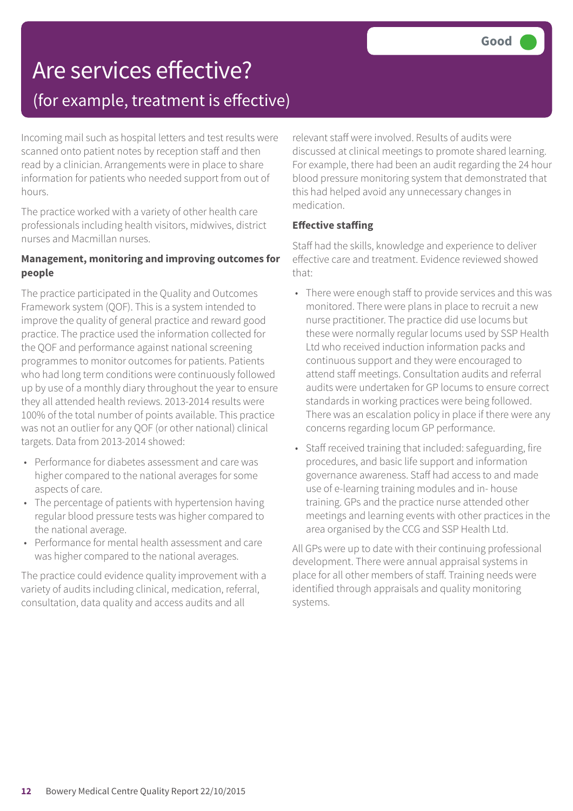### Are services effective? (for example, treatment is effective)

Incoming mail such as hospital letters and test results were scanned onto patient notes by reception staff and then read by a clinician. Arrangements were in place to share information for patients who needed support from out of hours.

The practice worked with a variety of other health care professionals including health visitors, midwives, district nurses and Macmillan nurses.

#### **Management, monitoring and improving outcomes for people**

The practice participated in the Quality and Outcomes Framework system (QOF). This is a system intended to improve the quality of general practice and reward good practice. The practice used the information collected for the QOF and performance against national screening programmes to monitor outcomes for patients. Patients who had long term conditions were continuously followed up by use of a monthly diary throughout the year to ensure they all attended health reviews. 2013-2014 results were 100% of the total number of points available. This practice was not an outlier for any QOF (or other national) clinical targets. Data from 2013-2014 showed:

- Performance for diabetes assessment and care was higher compared to the national averages for some aspects of care.
- The percentage of patients with hypertension having regular blood pressure tests was higher compared to the national average.
- Performance for mental health assessment and care was higher compared to the national averages.

The practice could evidence quality improvement with a variety of audits including clinical, medication, referral, consultation, data quality and access audits and all

relevant staff were involved. Results of audits were discussed at clinical meetings to promote shared learning. For example, there had been an audit regarding the 24 hour blood pressure monitoring system that demonstrated that this had helped avoid any unnecessary changes in medication.

### **Effective staffing**

Staff had the skills, knowledge and experience to deliver effective care and treatment. Evidence reviewed showed that:

- There were enough staff to provide services and this was monitored. There were plans in place to recruit a new nurse practitioner. The practice did use locums but these were normally regular locums used by SSP Health Ltd who received induction information packs and continuous support and they were encouraged to attend staff meetings. Consultation audits and referral audits were undertaken for GP locums to ensure correct standards in working practices were being followed. There was an escalation policy in place if there were any concerns regarding locum GP performance.
- Staff received training that included: safeguarding, fire procedures, and basic life support and information governance awareness. Staff had access to and made use of e-learning training modules and in- house training. GPs and the practice nurse attended other meetings and learning events with other practices in the area organised by the CCG and SSP Health Ltd.

All GPs were up to date with their continuing professional development. There were annual appraisal systems in place for all other members of staff. Training needs were identified through appraisals and quality monitoring systems.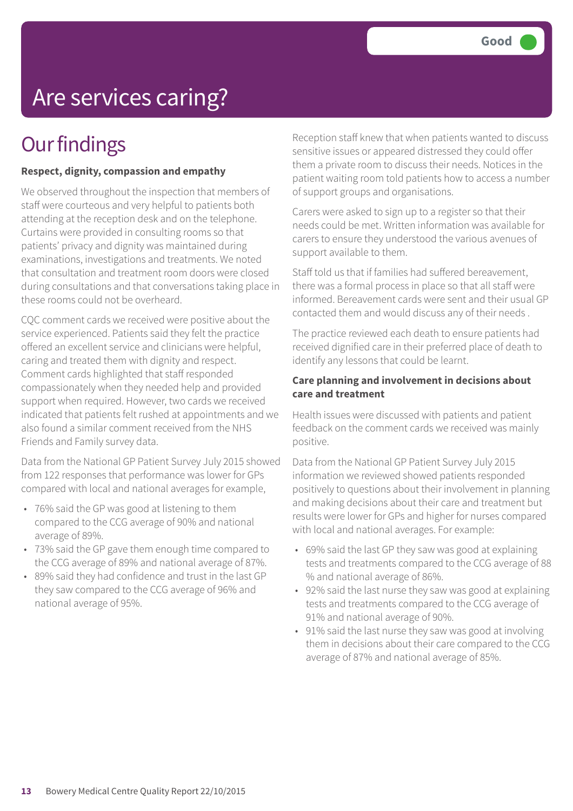## Are services caring?

### **Our findings**

#### **Respect, dignity, compassion and empathy**

We observed throughout the inspection that members of staff were courteous and very helpful to patients both attending at the reception desk and on the telephone. Curtains were provided in consulting rooms so that patients' privacy and dignity was maintained during examinations, investigations and treatments. We noted that consultation and treatment room doors were closed during consultations and that conversations taking place in these rooms could not be overheard.

CQC comment cards we received were positive about the service experienced. Patients said they felt the practice offered an excellent service and clinicians were helpful, caring and treated them with dignity and respect. Comment cards highlighted that staff responded compassionately when they needed help and provided support when required. However, two cards we received indicated that patients felt rushed at appointments and we also found a similar comment received from the NHS Friends and Family survey data.

Data from the National GP Patient Survey July 2015 showed from 122 responses that performance was lower for GPs compared with local and national averages for example,

- 76% said the GP was good at listening to them compared to the CCG average of 90% and national average of 89%.
- 73% said the GP gave them enough time compared to the CCG average of 89% and national average of 87%.
- 89% said they had confidence and trust in the last GP they saw compared to the CCG average of 96% and national average of 95%.

Reception staff knew that when patients wanted to discuss sensitive issues or appeared distressed they could offer them a private room to discuss their needs. Notices in the patient waiting room told patients how to access a number of support groups and organisations.

Carers were asked to sign up to a register so that their needs could be met. Written information was available for carers to ensure they understood the various avenues of support available to them.

Staff told us that if families had suffered bereavement, there was a formal process in place so that all staff were informed. Bereavement cards were sent and their usual GP contacted them and would discuss any of their needs .

The practice reviewed each death to ensure patients had received dignified care in their preferred place of death to identify any lessons that could be learnt.

#### **Care planning and involvement in decisions about care and treatment**

Health issues were discussed with patients and patient feedback on the comment cards we received was mainly positive.

Data from the National GP Patient Survey July 2015 information we reviewed showed patients responded positively to questions about their involvement in planning and making decisions about their care and treatment but results were lower for GPs and higher for nurses compared with local and national averages. For example:

- 69% said the last GP they saw was good at explaining tests and treatments compared to the CCG average of 88 % and national average of 86%.
- 92% said the last nurse they saw was good at explaining tests and treatments compared to the CCG average of 91% and national average of 90%.
- 91% said the last nurse they saw was good at involving them in decisions about their care compared to the CCG average of 87% and national average of 85%.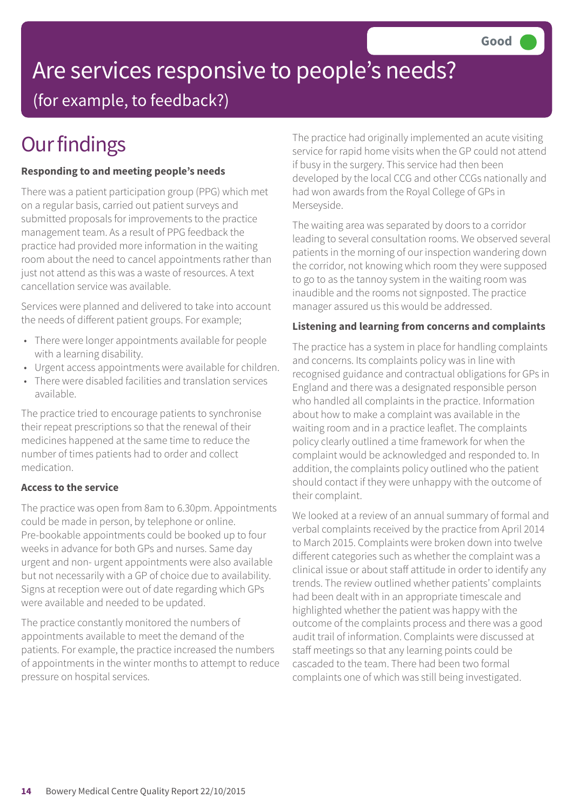# Are services responsive to people's needs?

(for example, to feedback?)

## **Our findings**

### **Responding to and meeting people's needs**

There was a patient participation group (PPG) which met on a regular basis, carried out patient surveys and submitted proposals for improvements to the practice management team. As a result of PPG feedback the practice had provided more information in the waiting room about the need to cancel appointments rather than just not attend as this was a waste of resources. A text cancellation service was available.

Services were planned and delivered to take into account the needs of different patient groups. For example;

- There were longer appointments available for people with a learning disability.
- Urgent access appointments were available for children.
- There were disabled facilities and translation services available.

The practice tried to encourage patients to synchronise their repeat prescriptions so that the renewal of their medicines happened at the same time to reduce the number of times patients had to order and collect medication.

#### **Access to the service**

The practice was open from 8am to 6.30pm. Appointments could be made in person, by telephone or online. Pre-bookable appointments could be booked up to four weeks in advance for both GPs and nurses. Same day urgent and non- urgent appointments were also available but not necessarily with a GP of choice due to availability. Signs at reception were out of date regarding which GPs were available and needed to be updated.

The practice constantly monitored the numbers of appointments available to meet the demand of the patients. For example, the practice increased the numbers of appointments in the winter months to attempt to reduce pressure on hospital services.

The practice had originally implemented an acute visiting service for rapid home visits when the GP could not attend if busy in the surgery. This service had then been developed by the local CCG and other CCGs nationally and had won awards from the Royal College of GPs in Merseyside.

The waiting area was separated by doors to a corridor leading to several consultation rooms. We observed several patients in the morning of our inspection wandering down the corridor, not knowing which room they were supposed to go to as the tannoy system in the waiting room was inaudible and the rooms not signposted. The practice manager assured us this would be addressed.

### **Listening and learning from concerns and complaints**

The practice has a system in place for handling complaints and concerns. Its complaints policy was in line with recognised guidance and contractual obligations for GPs in England and there was a designated responsible person who handled all complaints in the practice. Information about how to make a complaint was available in the waiting room and in a practice leaflet. The complaints policy clearly outlined a time framework for when the complaint would be acknowledged and responded to. In addition, the complaints policy outlined who the patient should contact if they were unhappy with the outcome of their complaint.

We looked at a review of an annual summary of formal and verbal complaints received by the practice from April 2014 to March 2015. Complaints were broken down into twelve different categories such as whether the complaint was a clinical issue or about staff attitude in order to identify any trends. The review outlined whether patients' complaints had been dealt with in an appropriate timescale and highlighted whether the patient was happy with the outcome of the complaints process and there was a good audit trail of information. Complaints were discussed at staff meetings so that any learning points could be cascaded to the team. There had been two formal complaints one of which was still being investigated.